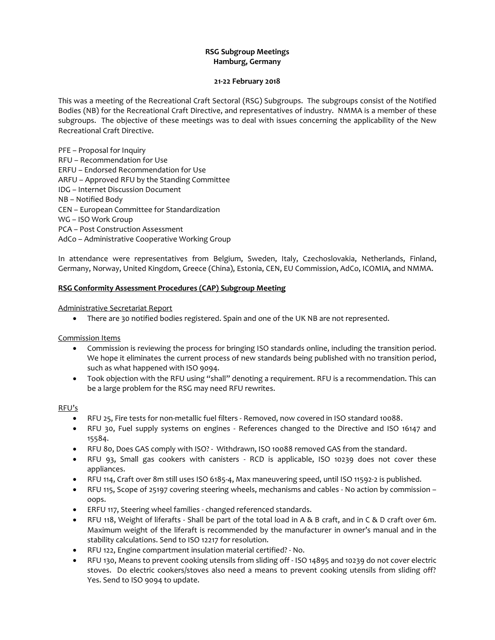# **RSG Subgroup Meetings Hamburg, Germany**

#### **21-22 February 2018**

This was a meeting of the Recreational Craft Sectoral (RSG) Subgroups. The subgroups consist of the Notified Bodies (NB) for the Recreational Craft Directive, and representatives of industry. NMMA is a member of these subgroups. The objective of these meetings was to deal with issues concerning the applicability of the New Recreational Craft Directive.

PFE – Proposal for Inquiry RFU – Recommendation for Use ERFU – Endorsed Recommendation for Use ARFU – Approved RFU by the Standing Committee IDG – Internet Discussion Document NB – Notified Body CEN – European Committee for Standardization WG – ISO Work Group PCA – Post Construction Assessment AdCo – Administrative Cooperative Working Group

In attendance were representatives from Belgium, Sweden, Italy, Czechoslovakia, Netherlands, Finland, Germany, Norway, United Kingdom, Greece (China), Estonia, CEN, EU Commission, AdCo, ICOMIA, and NMMA.

#### **RSG Conformity Assessment Procedures (CAP) Subgroup Meeting**

Administrative Secretariat Report

There are 30 notified bodies registered. Spain and one of the UK NB are not represented.

Commission Items

- Commission is reviewing the process for bringing ISO standards online, including the transition period. We hope it eliminates the current process of new standards being published with no transition period, such as what happened with ISO 9094.
- Took objection with the RFU using "shall" denoting a requirement. RFU is a recommendation. This can be a large problem for the RSG may need RFU rewrites.

## RFU's

- RFU 25, Fire tests for non-metallic fuel filters Removed, now covered in ISO standard 10088.
- RFU 30, Fuel supply systems on engines References changed to the Directive and ISO 16147 and 15584.
- RFU 80, Does GAS comply with ISO? Withdrawn, ISO 10088 removed GAS from the standard.
- RFU 93, Small gas cookers with canisters RCD is applicable, ISO 10239 does not cover these appliances.
- RFU 114, Craft over 8m still uses ISO 6185-4, Max maneuvering speed, until ISO 11592-2 is published.
- RFU 115, Scope of 25197 covering steering wheels, mechanisms and cables No action by commission oops.
- ERFU 117, Steering wheel families changed referenced standards.
- RFU 118, Weight of liferafts Shall be part of the total load in A & B craft, and in C & D craft over 6m. Maximum weight of the liferaft is recommended by the manufacturer in owner's manual and in the stability calculations. Send to ISO 12217 for resolution.
- RFU 122, Engine compartment insulation material certified? No.
- RFU 130, Means to prevent cooking utensils from sliding off ISO 14895 and 10239 do not cover electric stoves. Do electric cookers/stoves also need a means to prevent cooking utensils from sliding off? Yes. Send to ISO 9094 to update.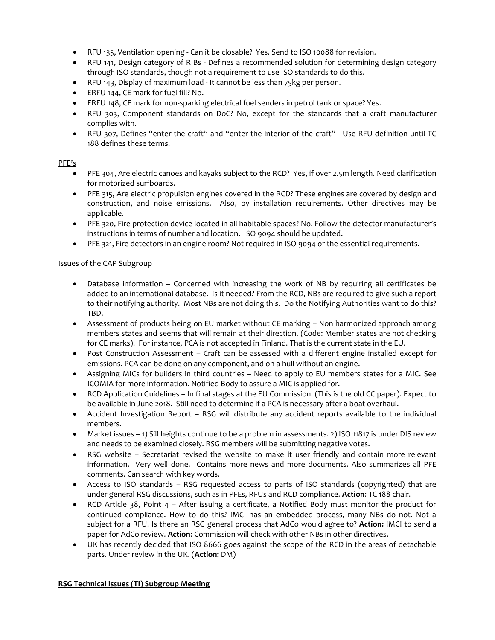- RFU 135, Ventilation opening Can it be closable? Yes. Send to ISO 10088 for revision.
- RFU 141, Design category of RIBs Defines a recommended solution for determining design category through ISO standards, though not a requirement to use ISO standards to do this.
- RFU 143, Display of maximum load It cannot be less than 75kg per person.
- ERFU 144, CE mark for fuel fill? No.
- ERFU 148, CE mark for non-sparking electrical fuel senders in petrol tank or space? Yes.
- RFU 303, Component standards on DoC? No, except for the standards that a craft manufacturer complies with.
- RFU 307, Defines "enter the craft" and "enter the interior of the craft" Use RFU definition until TC 188 defines these terms.

#### PFE's

- PFE 304, Are electric canoes and kayaks subject to the RCD? Yes, if over 2.5m length. Need clarification for motorized surfboards.
- PFE 315, Are electric propulsion engines covered in the RCD? These engines are covered by design and construction, and noise emissions. Also, by installation requirements. Other directives may be applicable.
- PFE 320, Fire protection device located in all habitable spaces? No. Follow the detector manufacturer's instructions in terms of number and location. ISO 9094 should be updated.
- PFE 321, Fire detectors in an engine room? Not required in ISO 9094 or the essential requirements.

#### Issues of the CAP Subgroup

- Database information Concerned with increasing the work of NB by requiring all certificates be added to an international database. Is it needed? From the RCD, NBs are required to give such a report to their notifying authority. Most NBs are not doing this. Do the Notifying Authorities want to do this? TBD.
- Assessment of products being on EU market without CE marking Non harmonized approach among members states and seems that will remain at their direction. (Code: Member states are not checking for CE marks). For instance, PCA is not accepted in Finland. That is the current state in the EU.
- Post Construction Assessment Craft can be assessed with a different engine installed except for emissions. PCA can be done on any component, and on a hull without an engine.
- Assigning MICs for builders in third countries Need to apply to EU members states for a MIC. See ICOMIA for more information. Notified Body to assure a MIC is applied for.
- RCD Application Guidelines In final stages at the EU Commission. (This is the old CC paper). Expect to be available in June 2018. Still need to determine if a PCA is necessary after a boat overhaul.
- Accident Investigation Report RSG will distribute any accident reports available to the individual members.
- Market issues 1) Sill heights continue to be a problem in assessments. 2) ISO 11817 is under DIS review and needs to be examined closely. RSG members will be submitting negative votes.
- RSG website Secretariat revised the website to make it user friendly and contain more relevant information. Very well done. Contains more news and more documents. Also summarizes all PFE comments. Can search with key words.
- Access to ISO standards RSG requested access to parts of ISO standards (copyrighted) that are under general RSG discussions, such as in PFEs, RFUs and RCD compliance. **Action**: TC 188 chair.
- RCD Article 38, Point 4 After issuing a certificate, a Notified Body must monitor the product for continued compliance. How to do this? IMCI has an embedded process, many NBs do not. Not a subject for a RFU. Is there an RSG general process that AdCo would agree to? **Action:** IMCI to send a paper for AdCo review. **Action**: Commission will check with other NBs in other directives.
- UK has recently decided that ISO 8666 goes against the scope of the RCD in the areas of detachable parts. Under review in the UK. (**Action:** DM)

## **RSG Technical Issues (TI) Subgroup Meeting**